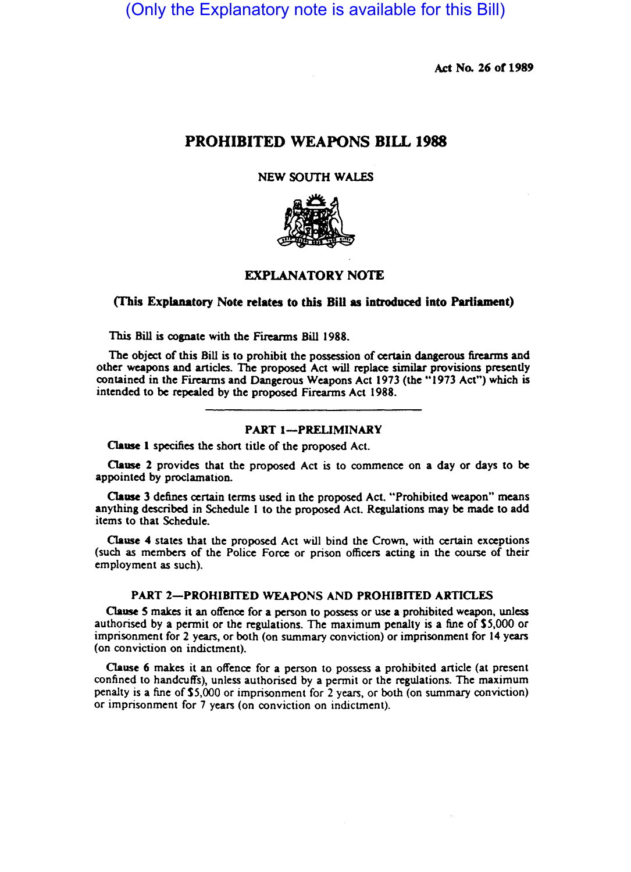# (Only the Explanatory note is available for this Bill)

Act No. 26 of 1989

# PROHIBITED WEAPONS BILL 1988

#### NEW SOUTH WALES



# EXPLANATORY NOTE

#### (This Explanatory Note relates to this BiU as introduced into Parliament)

This Bill is cognate with the Firearms Bill 1988.

The objcct of this Bill is to prohibit the possession of certain dangerous firearms and other weapons and articles. The proposed Act will replace similar provisions presently contained in the Firearms and Dangerous Weapons Act 1973 (the "1973 Act") which is intended to be repealed by the proposed Firearms Act 1988.

### PART 1-PRELIMINARY

Oause I specifies the short title of the proposed Act.

Oause 2 provides that the proposed Act is to commence on a day or days to be appointed by proclamation.

Oause 3 defines certain terms used in the proposed Act. "Prohibited weapon" means anything described in Schedule I to the proposed Act. Regulations may be made to add items to that Schedule.

Oause 4 states that the proposed Act will bind the Crown, with certain exceptions (such as members of the Police Force or prison officers acting in the course of their employment as such).

## PART 2-PROHIBITED WEAPONS AND PROHIBITED ARTICLES

Oause S makes it an offence for a person to possess or use a prohibited weapon, unless authorised by a permit or the regulations. The maximum penalty is a fine of \$5,000 or imprisonment for 2 years, or both (on summary conviction) or imprisonment for 14 years (on conviction on indictment).

Oause 6 makes it an offence for a person to possess a prohibited anicle (at present confined to handcuffs), unless authorised by a permit or the regulations. The maximum penalty is a fine ofS5,OOO or imprisonment for 2 years, or both (on summary conviction) or imprisonment for 7 years (on conviction on indictment).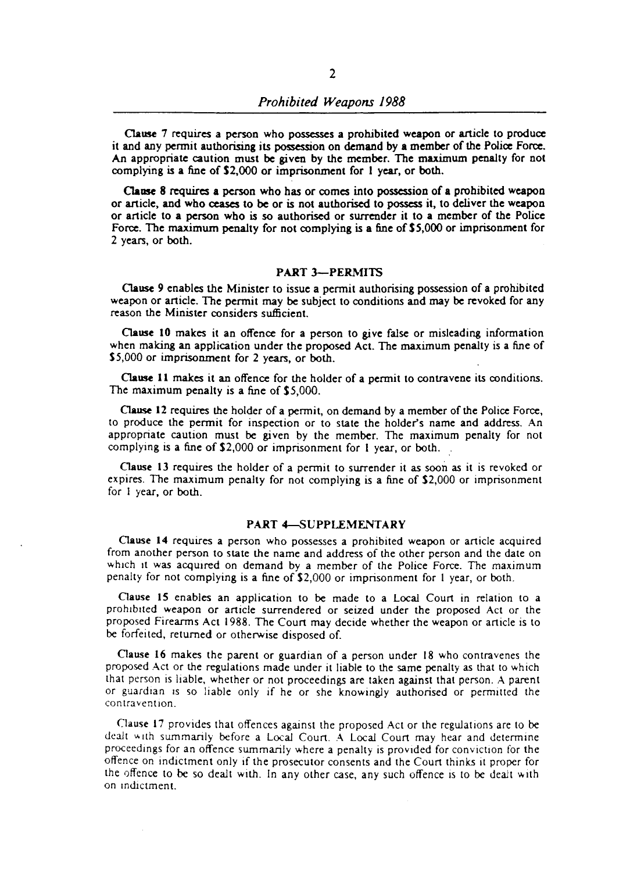Clause 7 requires a person who possesses a prohibited weapon or article to produce it and any permit authorising its possession on demand by a member of the Police Force. An appropriate caution must be given by the member. The maximum penalty for not complying is a fine of S2,OOO or imprisonment for I year, or both.

Clause 8 requires a person who has or comes into possession of a prohibited weapon or article, and who ceases to be or is not authorised to possess it, to deliver the weapon or article to a person who is so authorised or surrender it to a member of the Police Force. The maximum penalty for not complying is a fine of \$5,000 or imprisonment for 2 years, or both.

#### PART 3-PERMITS

Clause 9 enables the Minister to issue a permit authorising possession of a prohibited weapon or article. The permit may be subject to conditions and may be revoked for any reason the Minister considers sufficient.

Clause 10 makes it an offence for a person to give false or misleading information when making an application under the proposed Act. The maximum penalty is a fine of \$5,000 or imprisonment for 2 years, or both.

Clause 11 makes it an offence for the holder of a permit to contravene its conditions. The maximum penalty is a fine of \$5,000.

Oause 12 requires the holder of a permit, on demand by a member of the Police Force, to produce the permit for inspection or to state the holder'S name and address. An appropriate caution must be given by the member. The maximum penalty for not complying is a fine of S2,000 or imprisonment for I year, or both.

Oause 13 requires the holder of a permit to surrender it as soon as it is revoked or expires. The maximum penalty for not complying is a fine of S2,000 or imprisonment for I year, or both.

# PART 4-SUPPLEMENTARY

Cause 14 requires a person who possesses a prohibited weapon or article acquired from another person to state the name and address of the other person and the date on which it was acquired on demand by a member of the Police Force. The maximum penalty for not complying is a fine of S2,000 or imprisonment for I year, or both.

Oause 15 enables an application to be made to a Local Court in relation to a prohibited weapon or article surrendered or seized under the proposed Act or the proposed Firearms Act 1988. The Court may decide whether the weapon or article is to be forfeited, returned or otherwise disposed of.

Oause 16 makes the parent or guardian of a person under 18 who contravenes the proposed Act or the regulations made under it liable to the same penalty as that to which that person is liable, whether or not proceedings are taken against that person. A parent or guardian IS so liable only if he or she knowingly authorised or permitted the contravention.

Clause 17 provides that offences against the proposed Act or the regulations are to be dealt with summarily before a Local Court. A Local Court may hear and determine proceedings for an offence summarily where a penalty is provided for conviction for the offence on Indictment only if the prosecutor consents and the Court thinks it proper for the offence to be so dealt with. In any other case, any such offence is to be dealt with on Indictment.